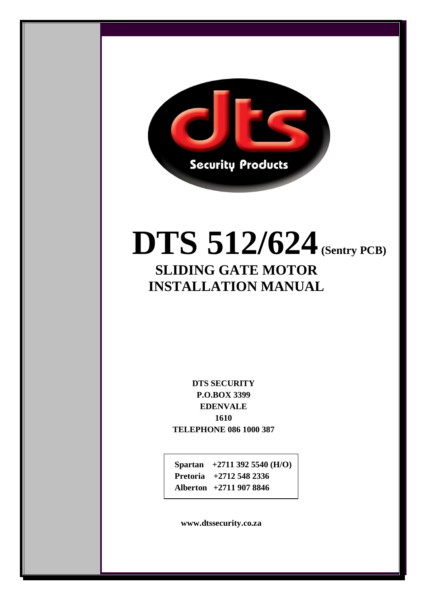

# **DTS 512/624(Sentry PCB)**

## **SLIDING GATE MOTOR INSTALLATION MANUAL**

**DTS SECURITY P.O.BOX 3399 EDENVALE 1610 TELEPHONE 086 1000 387**

 **Spartan +2711 392 5540 (H/O) Pretoria +2712 548 2336 Alberton +2711 907 8846**

 **www.dtssecurity.co.za**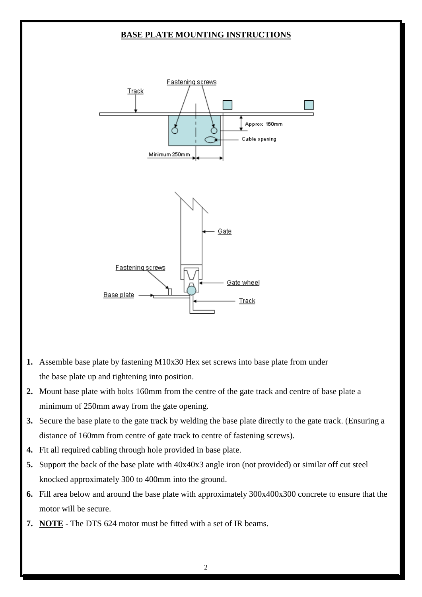#### **BASE PLATE MOUNTING INSTRUCTIONS**



- **1.** Assemble base plate by fastening M10x30 Hex set screws into base plate from under the base plate up and tightening into position.
- **2.** Mount base plate with bolts 160mm from the centre of the gate track and centre of base plate a minimum of 250mm away from the gate opening.
- **3.** Secure the base plate to the gate track by welding the base plate directly to the gate track. (Ensuring a distance of 160mm from centre of gate track to centre of fastening screws).
- **4.** Fit all required cabling through hole provided in base plate.
- **5.** Support the back of the base plate with 40x40x3 angle iron (not provided) or similar off cut steel knocked approximately 300 to 400mm into the ground.
- **6.** Fill area below and around the base plate with approximately 300x400x300 concrete to ensure that the motor will be secure.
- **7. NOTE** The DTS 624 motor must be fitted with a set of IR beams.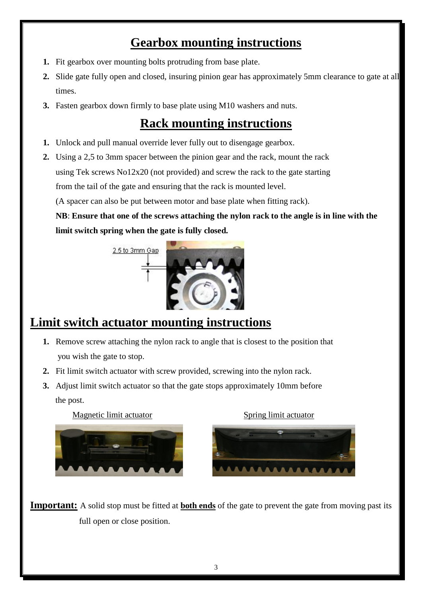## **Gearbox mounting instructions**

- **1.** Fit gearbox over mounting bolts protruding from base plate.
- **2.** Slide gate fully open and closed, insuring pinion gear has approximately 5mm clearance to gate at all times.
- **3.** Fasten gearbox down firmly to base plate using M10 washers and nuts.

## **Rack mounting instructions**

- **1.** Unlock and pull manual override lever fully out to disengage gearbox.
- **2.** Using a 2,5 to 3mm spacer between the pinion gear and the rack, mount the rack using Tek screws No12x20 (not provided) and screw the rack to the gate starting from the tail of the gate and ensuring that the rack is mounted level.

(A spacer can also be put between motor and base plate when fitting rack).

**NB**: **Ensure that one of the screws attaching the nylon rack to the angle is in line with the limit switch spring when the gate is fully closed.**



## **Limit switch actuator mounting instructions**

- **1.** Remove screw attaching the nylon rack to angle that is closest to the position that you wish the gate to stop.
- **2.** Fit limit switch actuator with screw provided, screwing into the nylon rack.
- **3.** Adjust limit switch actuator so that the gate stops approximately 10mm before the post.

Magnetic limit actuator Spring limit actuator





**Important:** A solid stop must be fitted at **both ends** of the gate to prevent the gate from moving past its full open or close position.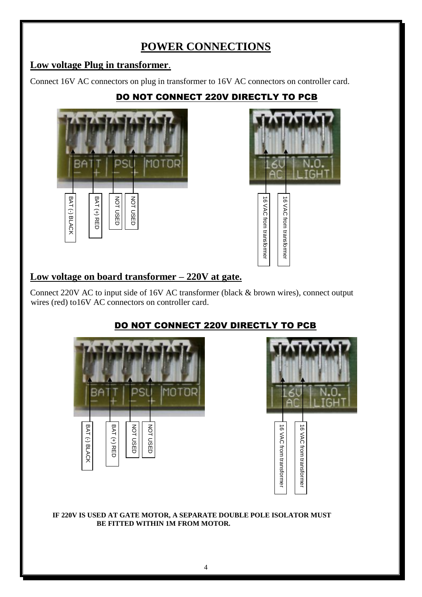## **POWER CONNECTIONS**

## **Low voltage Plug in transformer**.

Connect 16V AC connectors on plug in transformer to 16V AC connectors on controller card.



## DO NOT CONNECT 220V DIRECTLY TO PCB



## **Low voltage on board transformer – 220V at gate.**

 Connect 220V AC to input side of 16V AC transformer (black & brown wires), connect output wires (red) to 16V AC connectors on controller card.



## DO NOT CONNECT 220V DIRECTLY TO PCB



#### **IF 220V IS USED AT GATE MOTOR, A SEPARATE DOUBLE POLE ISOLATOR MUST BE FITTED WITHIN 1M FROM MOTOR.**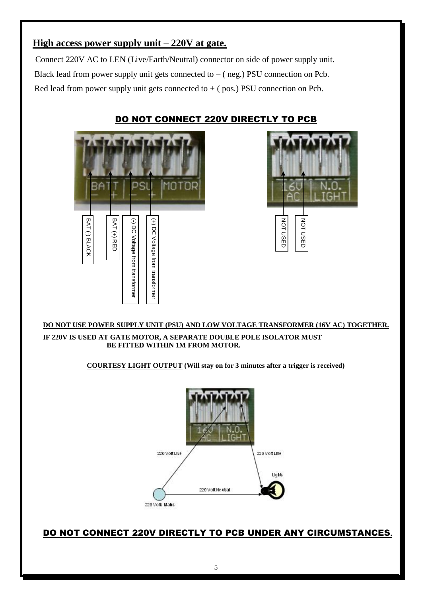## **High access power supply unit – 220V at gate.**

 Connect 220V AC to LEN (Live/Earth/Neutral) connector on side of power supply unit. Black lead from power supply unit gets connected to  $-$  ( neg.) PSU connection on Pcb. Red lead from power supply unit gets connected to  $+$  (pos.) PSU connection on Pcb.



## DO NOT CONNECT 220V DIRECTLY TO PCB



#### **DO NOT USE POWER SUPPLY UNIT (PSU) AND LOW VOLTAGE TRANSFORMER (16V AC) TOGETHER.**

**IF 220V IS USED AT GATE MOTOR, A SEPARATE DOUBLE POLE ISOLATOR MUST BE FITTED WITHIN 1M FROM MOTOR.** 

**COURTESY LIGHT OUTPUT (Will stay on for 3 minutes after a trigger is received)**

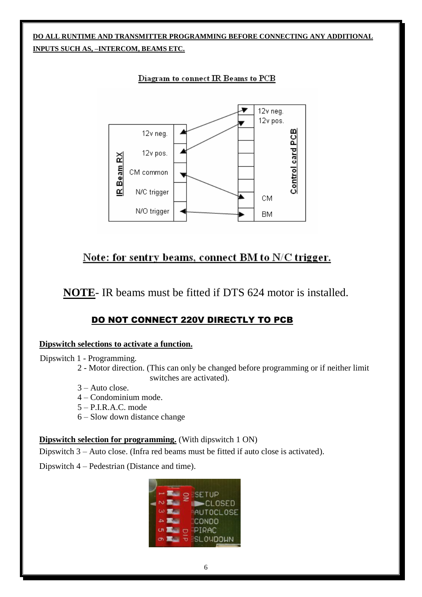## **DO ALL RUNTIME AND TRANSMITTER PROGRAMMING BEFORE CONNECTING ANY ADDITIONAL INPUTS SUCH AS, –INTERCOM, BEAMS ETC.**



## Note: for sentry beams, connect BM to N/C trigger.

**NOTE**- IR beams must be fitted if DTS 624 motor is installed.

## DO NOT CONNECT 220V DIRECTLY TO PCB

#### **Dipswitch selections to activate a function.**

#### Dipswitch 1 - Programming.

- 2 Motor direction. (This can only be changed before programming or if neither limit switches are activated).
- 3 Auto close.
- 4 Condominium mode.
- 5 P.I.R.A.C. mode
- 6 Slow down distance change

#### **Dipswitch selection for programming.** (With dipswitch 1 ON)

Dipswitch 3 – Auto close. (Infra red beams must be fitted if auto close is activated).

Dipswitch 4 – Pedestrian (Distance and time).

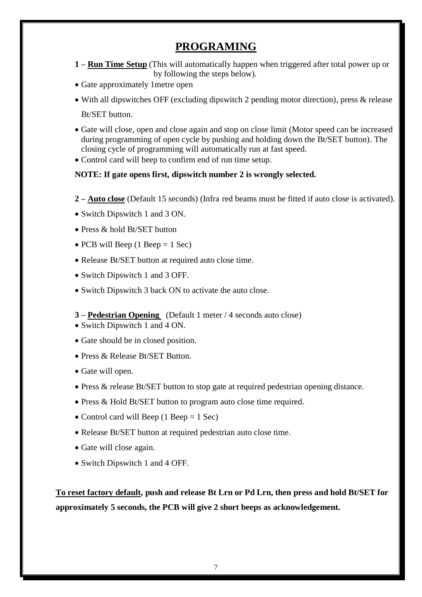## **PROGRAMING**

- **1 – Run Time Setup** (This will automatically happen when triggered after total power up or by following the steps below).
- Gate approximately 1 metre open
- With all dipswitches OFF (excluding dipswitch 2 pending motor direction), press & release Bt/SET button.
- Gate will close, open and close again and stop on close limit (Motor speed can be increased during programming of open cycle by pushing and holding down the Bt/SET button). The closing cycle of programming will automatically run at fast speed.
- Control card will beep to confirm end of run time setup.

## **NOTE: If gate opens first, dipswitch number 2 is wrongly selected.**

- **2 – Auto close** (Default 15 seconds) (Infra red beams must be fitted if auto close is activated).
- Switch Dipswitch 1 and 3 ON.
- Press & hold Bt/SET button
- $\bullet$  PCB will Beep (1 Beep = 1 Sec)
- Release Bt/SET button at required auto close time.
- Switch Dipswitch 1 and 3 OFF.
- Switch Dipswitch 3 back ON to activate the auto close.

#### **3 – Pedestrian Opening** (Default 1 meter / 4 seconds auto close)

- Switch Dipswitch 1 and 4 ON.
- Gate should be in closed position.
- Press & Release Bt/SET Button.
- Gate will open.
- Press & release Bt/SET button to stop gate at required pedestrian opening distance.
- Press & Hold Bt/SET button to program auto close time required.
- Control card will Beep  $(1$  Beep  $= 1$  Sec)
- Release Bt/SET button at required pedestrian auto close time.
- Gate will close again.
- Switch Dipswitch 1 and 4 OFF.

**To reset factory default, push and release Bt Lrn or Pd Lrn, then press and hold Bt/SET for approximately 5 seconds, the PCB will give 2 short beeps as acknowledgement.**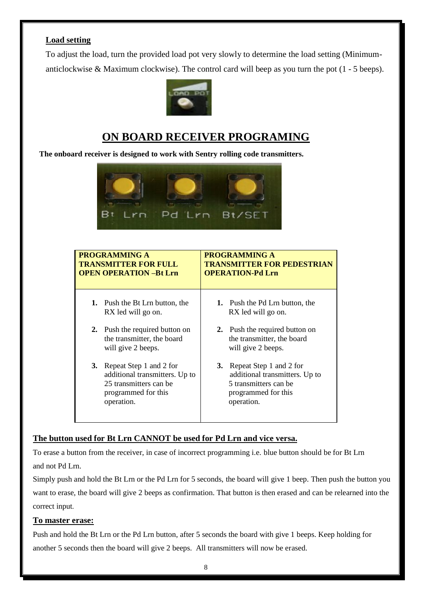## **Load setting**

To adjust the load, turn the provided load pot very slowly to determine the load setting (Minimumanticlockwise & Maximum clockwise). The control card will beep as you turn the pot (1 - 5 beeps).



## **ON BOARD RECEIVER PROGRAMING**

**The onboard receiver is designed to work with Sentry rolling code transmitters.**



| <b>PROGRAMMING A</b><br><b>TRANSMITTER FOR FULL</b><br><b>OPEN OPERATION -Bt Lrn</b> |                                                                                                                                    | <b>PROGRAMMING A</b><br><b>TRANSMITTER FOR PEDESTRIAN</b><br><b>OPERATION-Pd Lrn</b>                                              |  |
|--------------------------------------------------------------------------------------|------------------------------------------------------------------------------------------------------------------------------------|-----------------------------------------------------------------------------------------------------------------------------------|--|
|                                                                                      | 1. Push the Bt Lrn button, the<br>RX led will go on.                                                                               | 1. Push the Pd Lrn button, the<br>RX led will go on.                                                                              |  |
|                                                                                      | 2. Push the required button on<br>the transmitter, the board<br>will give 2 beeps.                                                 | 2. Push the required button on<br>the transmitter, the board<br>will give 2 beeps.                                                |  |
|                                                                                      | <b>3.</b> Repeat Step 1 and 2 for<br>additional transmitters. Up to<br>25 transmitters can be<br>programmed for this<br>operation. | <b>3.</b> Repeat Step 1 and 2 for<br>additional transmitters. Up to<br>5 transmitters can be<br>programmed for this<br>operation. |  |

## **The button used for Bt Lrn CANNOT be used for Pd Lrn and vice versa.**

To erase a button from the receiver, in case of incorrect programming i.e. blue button should be for Bt Lrn and not Pd Lrn.

Simply push and hold the Bt Lrn or the Pd Lrn for 5 seconds, the board will give 1 beep. Then push the button you want to erase, the board will give 2 beeps as confirmation. That button is then erased and can be relearned into the correct input.

#### **To master erase:**

Push and hold the Bt Lrn or the Pd Lrn button, after 5 seconds the board with give 1 beeps. Keep holding for another 5 seconds then the board will give 2 beeps. All transmitters will now be erased.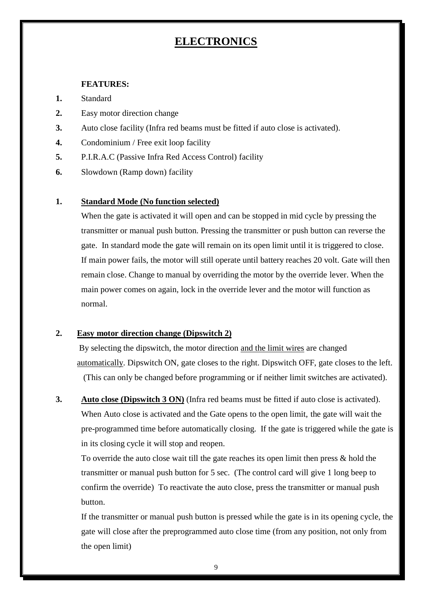## **ELECTRONICS**

#### **FEATURES:**

**1.** Standard

- **2.** Easy motor direction change
- **3.** Auto close facility (Infra red beams must be fitted if auto close is activated).
- **4.** Condominium / Free exit loop facility
- **5.** P.I.R.A.C (Passive Infra Red Access Control) facility
- **6.** Slowdown (Ramp down) facility

#### **1. Standard Mode (No function selected)**

When the gate is activated it will open and can be stopped in mid cycle by pressing the transmitter or manual push button. Pressing the transmitter or push button can reverse the gate. In standard mode the gate will remain on its open limit until it is triggered to close. If main power fails, the motor will still operate until battery reaches 20 volt. Gate will then remain close. Change to manual by overriding the motor by the override lever. When the main power comes on again, lock in the override lever and the motor will function as normal.

#### **2. Easy motor direction change (Dipswitch 2)**

 By selecting the dipswitch, the motor direction and the limit wires are changed automatically. Dipswitch ON, gate closes to the right. Dipswitch OFF, gate closes to the left. (This can only be changed before programming or if neither limit switches are activated).

**3. Auto close (Dipswitch 3 ON)** (Infra red beams must be fitted if auto close is activated). When Auto close is activated and the Gate opens to the open limit, the gate will wait the pre-programmed time before automatically closing. If the gate is triggered while the gate is in its closing cycle it will stop and reopen.

To override the auto close wait till the gate reaches its open limit then press & hold the transmitter or manual push button for 5 sec. (The control card will give 1 long beep to confirm the override) To reactivate the auto close, press the transmitter or manual push button.

If the transmitter or manual push button is pressed while the gate is in its opening cycle, the gate will close after the preprogrammed auto close time (from any position, not only from the open limit)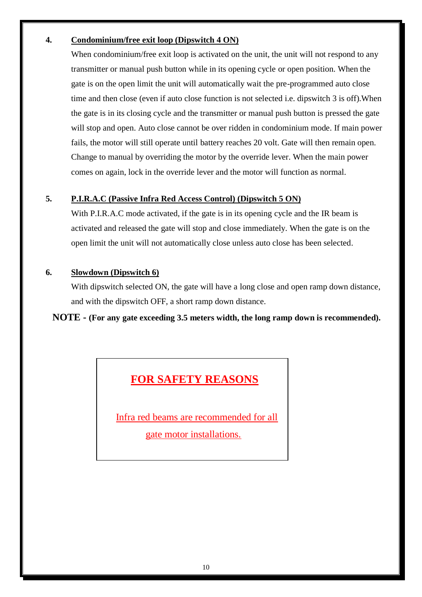### **4. Condominium/free exit loop (Dipswitch 4 ON)**

When condominium/free exit loop is activated on the unit, the unit will not respond to any transmitter or manual push button while in its opening cycle or open position. When the gate is on the open limit the unit will automatically wait the pre-programmed auto close time and then close (even if auto close function is not selected i.e. dipswitch 3 is off).When the gate is in its closing cycle and the transmitter or manual push button is pressed the gate will stop and open. Auto close cannot be over ridden in condominium mode. If main power fails, the motor will still operate until battery reaches 20 volt. Gate will then remain open. Change to manual by overriding the motor by the override lever. When the main power comes on again, lock in the override lever and the motor will function as normal.

### **5. P.I.R.A.C (Passive Infra Red Access Control) (Dipswitch 5 ON)**

With P.I.R.A.C mode activated, if the gate is in its opening cycle and the IR beam is activated and released the gate will stop and close immediately. When the gate is on the open limit the unit will not automatically close unless auto close has been selected.

#### **6. Slowdown (Dipswitch 6)**

With dipswitch selected ON, the gate will have a long close and open ramp down distance, and with the dipswitch OFF, a short ramp down distance.

 **NOTE - (For any gate exceeding 3.5 meters width, the long ramp down is recommended).**

## **FOR SAFETY REASONS**

Infra red beams are recommended for all

gate motor installations.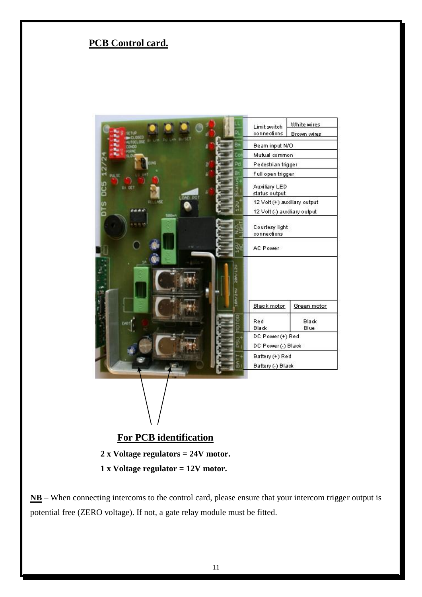## **PCB Control card.**



## **For PCB identification**

- **2 x Voltage regulators = 24V motor.**
- **1 x Voltage regulator = 12V motor.**

**NB** – When connecting intercoms to the control card, please ensure that your intercom trigger output is potential free (ZERO voltage). If not, a gate relay module must be fitted.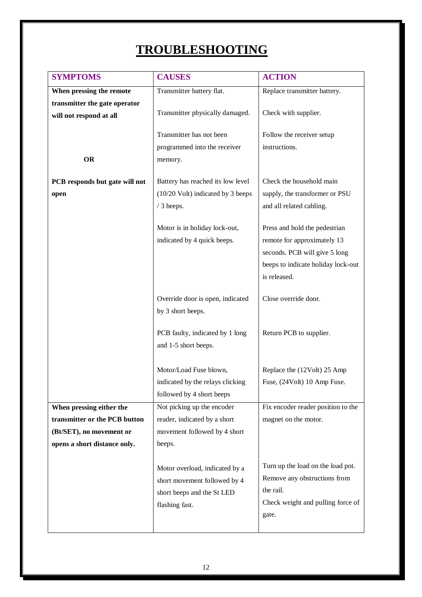## **TROUBLESHOOTING**

| <b>SYMPTOMS</b>                | <b>CAUSES</b>                     | <b>ACTION</b>                              |
|--------------------------------|-----------------------------------|--------------------------------------------|
| When pressing the remote       | Transmitter battery flat.         | Replace transmitter battery.               |
| transmitter the gate operator  |                                   |                                            |
| will not respond at all        | Transmitter physically damaged.   | Check with supplier.                       |
|                                | Transmitter has not been          |                                            |
|                                | programmed into the receiver      | Follow the receiver setup<br>instructions. |
| <b>OR</b>                      |                                   |                                            |
|                                | memory.                           |                                            |
| PCB responds but gate will not | Battery has reached its low level | Check the household main                   |
| open                           | (10/20 Volt) indicated by 3 beeps | supply, the transformer or PSU             |
|                                | $/3$ beeps.                       | and all related cabling.                   |
|                                |                                   |                                            |
|                                | Motor is in holiday lock-out,     | Press and hold the pedestrian              |
|                                | indicated by 4 quick beeps.       | remote for approximately 13                |
|                                |                                   | seconds. PCB will give 5 long              |
|                                |                                   | beeps to indicate holiday lock-out         |
|                                |                                   | is released.                               |
|                                |                                   |                                            |
|                                | Override door is open, indicated  | Close override door.                       |
|                                | by 3 short beeps.                 |                                            |
|                                | PCB faulty, indicated by 1 long   | Return PCB to supplier.                    |
|                                | and 1-5 short beeps.              |                                            |
|                                |                                   |                                            |
|                                | Motor/Load Fuse blown,            | Replace the (12Volt) 25 Amp                |
|                                | indicated by the relays clicking  | Fuse, (24Volt) 10 Amp Fuse.                |
|                                | followed by 4 short beeps         |                                            |
| When pressing either the       | Not picking up the encoder        | Fix encoder reader position to the         |
| transmitter or the PCB button  | reader, indicated by a short      | magnet on the motor.                       |
| (Bt/SET), no movement or       | movement followed by 4 short      |                                            |
| opens a short distance only.   | beeps.                            |                                            |
|                                |                                   |                                            |
|                                | Motor overload, indicated by a    | Turn up the load on the load pot.          |
|                                | short movement followed by 4      | Remove any obstructions from               |
|                                | short beeps and the St LED        | the rail.                                  |
|                                | flashing fast.                    | Check weight and pulling force of          |
|                                |                                   | gate.                                      |
|                                |                                   |                                            |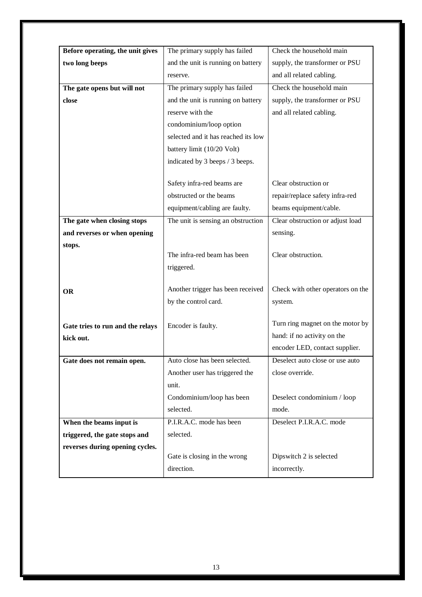| Before operating, the unit gives | The primary supply has failed       | Check the household main          |
|----------------------------------|-------------------------------------|-----------------------------------|
|                                  |                                     |                                   |
| two long beeps                   | and the unit is running on battery  | supply, the transformer or PSU    |
|                                  | reserve.                            | and all related cabling.          |
| The gate opens but will not      | The primary supply has failed       | Check the household main          |
| close                            | and the unit is running on battery  | supply, the transformer or PSU    |
|                                  | reserve with the                    | and all related cabling.          |
|                                  | condominium/loop option             |                                   |
|                                  | selected and it has reached its low |                                   |
|                                  | battery limit (10/20 Volt)          |                                   |
|                                  | indicated by 3 beeps / 3 beeps.     |                                   |
|                                  |                                     |                                   |
|                                  | Safety infra-red beams are          | Clear obstruction or              |
|                                  | obstructed or the beams             | repair/replace safety infra-red   |
|                                  | equipment/cabling are faulty.       | beams equipment/cable.            |
| The gate when closing stops      | The unit is sensing an obstruction  | Clear obstruction or adjust load  |
| and reverses or when opening     |                                     | sensing.                          |
| stops.                           |                                     |                                   |
|                                  | The infra-red beam has been         | Clear obstruction.                |
|                                  | triggered.                          |                                   |
|                                  |                                     |                                   |
| <b>OR</b>                        | Another trigger has been received   | Check with other operators on the |
|                                  | by the control card.                | system.                           |
|                                  |                                     |                                   |
| Gate tries to run and the relays | Encoder is faulty.                  | Turn ring magnet on the motor by  |
| kick out.                        |                                     | hand: if no activity on the       |
|                                  |                                     | encoder LED, contact supplier.    |
| Gate does not remain open.       | Auto close has been selected.       | Deselect auto close or use auto   |
|                                  | Another user has triggered the      | close override.                   |
|                                  | unit.                               |                                   |
|                                  | Condominium/loop has been           | Deselect condominium / loop       |
|                                  | selected.                           | mode.                             |
| When the beams input is          | P.I.R.A.C. mode has been            | Deselect P.I.R.A.C. mode          |
| triggered, the gate stops and    | selected.                           |                                   |
| reverses during opening cycles.  |                                     |                                   |
|                                  | Gate is closing in the wrong        | Dipswitch 2 is selected           |
|                                  | direction.                          | incorrectly.                      |
|                                  |                                     |                                   |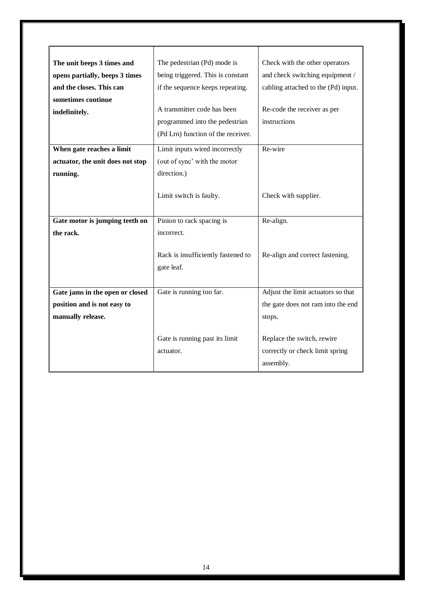| The unit beeps 3 times and       | The pedestrian (Pd) mode is        | Check with the other operators      |
|----------------------------------|------------------------------------|-------------------------------------|
| opens partially, beeps 3 times   | being triggered. This is constant  | and check switching equipment /     |
| and the closes. This can         | if the sequence keeps repeating.   | cabling attached to the (Pd) input. |
| sometimes continue               |                                    |                                     |
| indefinitely.                    | A transmitter code has been        | Re-code the receiver as per         |
|                                  | programmed into the pedestrian     | instructions                        |
|                                  | (Pd Lrn) function of the receiver. |                                     |
| When gate reaches a limit        | Limit inputs wired incorrectly     | Re-wire                             |
| actuator, the unit does not stop | (out of sync' with the motor       |                                     |
| running.                         | direction.)                        |                                     |
|                                  |                                    |                                     |
|                                  | Limit switch is faulty.            | Check with supplier.                |
|                                  |                                    |                                     |
| Gate motor is jumping teeth on   | Pinion to rack spacing is          | Re-align.                           |
| the rack.                        | incorrect.                         |                                     |
|                                  |                                    |                                     |
|                                  | Rack is insufficiently fastened to | Re-align and correct fastening.     |
|                                  | gate leaf.                         |                                     |
|                                  |                                    |                                     |
| Gate jams in the open or closed  | Gate is running too far.           | Adjust the limit actuators so that  |
| position and is not easy to      |                                    | the gate does not ram into the end  |
| manually release.                |                                    | stops.                              |
|                                  |                                    |                                     |
|                                  | Gate is running past its limit     | Replace the switch, rewire          |
|                                  | actuator.                          | correctly or check limit spring     |
|                                  |                                    | assembly.                           |
|                                  |                                    |                                     |